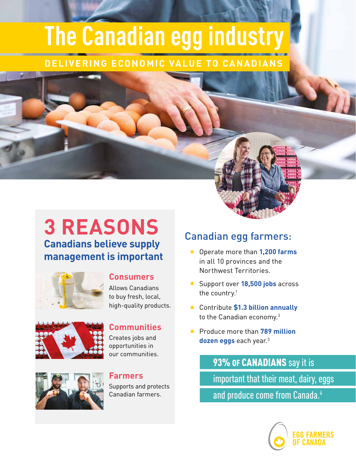# **The Canadian egg industry**

## **DELIVERING ECONOMIC VALUE TO CANADIANS**

# **3 REASONS Canadians believe supply management is important**



## **Consumers**

Allows Canadians to buy fresh, local, high-quality products.



## **Communities**

Creates jobs and opportunities in our communities.



#### **Farmers**

Supports and protects Canadian farmers.

# Canadian egg farmers:

- Operate more than **1,200 farms** in all 10 provinces and the Northwest Territories.
- **Support over 18,500 jobs** across the country. $1$
- Contribute **\$1.3 billion annually** to the Canadian economy.<sup>2</sup>
- Produce more than **789 million dozen eggs** each year.3

93% OF CANADIANS say it is important that their meat, dairy, eggs and produce come from Canada.<sup>4</sup>